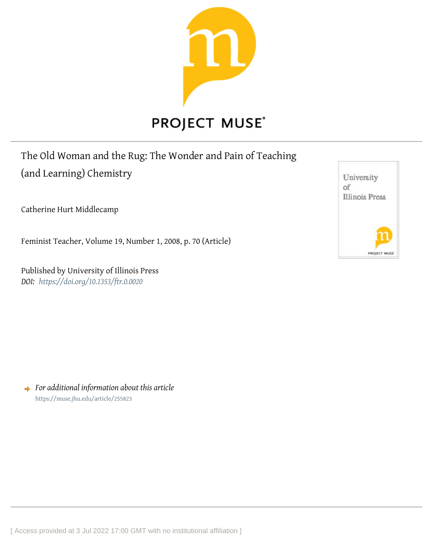

## The Old Woman and the Rug: The Wonder and Pain of Teaching

(and Learning) Chemistry

Catherine Hurt Middlecamp

Feminist Teacher, Volume 19, Number 1, 2008, p. 70 (Article)

Published by University of Illinois Press *DOI: <https://doi.org/10.1353/ftr.0.0020>*

University оf **Illinois Press** PROJECT MU

*For additional information about this article* <https://muse.jhu.edu/article/255823>

[ Access provided at 3 Jul 2022 17:00 GMT with no institutional affiliation ]